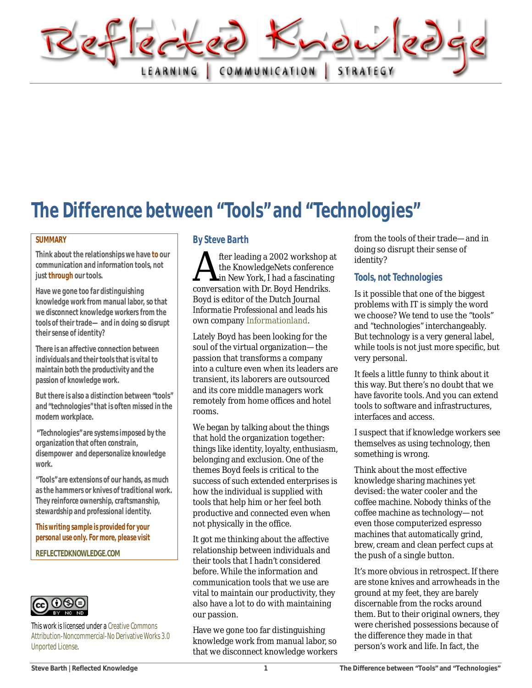

# The Difference between "Tools" and "Technologies"

#### **SUMMARY**

**Think about the relationships we have to our communication and information tools, not just through our tools.**

**Have we gone too far distinguishing knowledge work from manual labor, so that we disconnect knowledge workers from the tools of their trade—and in doing so disrupt their sense of identity?**

**There is an affective connection between individuals and their tools that is vital to maintain both the productivity and the passion of knowledge work.**

**But there is also a distinction between "tools" and "technologies" that is often missed in the modern workplace.**

**"Technologies" are systems imposed by the organization that often constrain, disempower and depersonalize knowledge work.** 

**"Tools" are extensions of our hands, as much as the hammers or knives of traditional work. Theyreinforce ownership, craftsmanship, stewardship and professional identity.**

*This writing sample is provided for your personal use only. For more, please visit*

**[REFLECTEDKNOWLEDGE.COM](http://www.reflectedknowledge.com/)**



This work is licensed under [a Creative Commons](http://creativecommons.org/licenses/by-nc-nd/3.0/)  [Attribution-Noncommercial-No Derivative Works 3.0](http://creativecommons.org/licenses/by-nc-nd/3.0/)  [Unported License.](http://creativecommons.org/licenses/by-nc-nd/3.0/)

#### By Steve Barth

fter leading a 2002 workshop at the KnowledgeNets conference **L**in New York, I had a fascinating The KnowledgeNets conference<br>the KnowledgeNets conference<br>conversation with Dr. Boyd Hendriks.<br>Boyd is editor of the Dutch Journal Boyd is editor of the Dutch Journal *Informatie Professional* and leads his own company [Informationland.](http://www.informatieland.nl/)

Lately Boyd has been looking for the soul of the virtual organization—the passion that transforms a company into a culture even when its leaders are transient, its laborers are outsourced and its core middle managers work remotely from home offices and hotel rooms.

We began by talking about the things that hold the organization together: things like identity, loyalty, enthusiasm, belonging and exclusion. One of the themes Boyd feels is critical to the success of such extended enterprises is how the individual is supplied with tools that help him or her feel both productive and connected even when not physically in the office.

It got me thinking about the affective relationship between individuals and their tools that I hadn't considered before. While the information and communication tools that we use are vital to maintain our productivity, they also have a lot to do with maintaining our passion.

Have we gone too far distinguishing knowledge work from manual labor, so that we disconnect knowledge workers from the tools of their trade—and in doing so disrupt their sense of identity?

### Tools, not Technologies

Is it possible that one of the biggest problems with IT is simply the word we choose? We tend to use the "tools" and "technologies" interchangeably. But technology is a very general label, while *tools* is not just more specific, but very personal.

It feels a little funny to think about it this way. But there's no doubt that we have favorite tools. And you can extend tools to software and infrastructures, interfaces and access.

I suspect that if knowledge workers see themselves as using technology, then something is wrong.

Think about the most effective knowledge sharing machines yet devised: the water cooler and the coffee machine. Nobody thinks of the coffee machine as technology—not even those computerized espresso machines that automatically grind, brew, cream and clean perfect cups at the push of a single button.

It's more obvious in retrospect. If there are stone knives and arrowheads in the ground at my feet, they are barely discernable from the rocks around them. But to their original owners, they were cherished possessions because of the difference they made in that person's work and life. In fact, the

**[Steve Barth | Reflected Knowledge](http://reflectedknowledge.com/) 1 The Difference between "Tools" and "Technologies"**